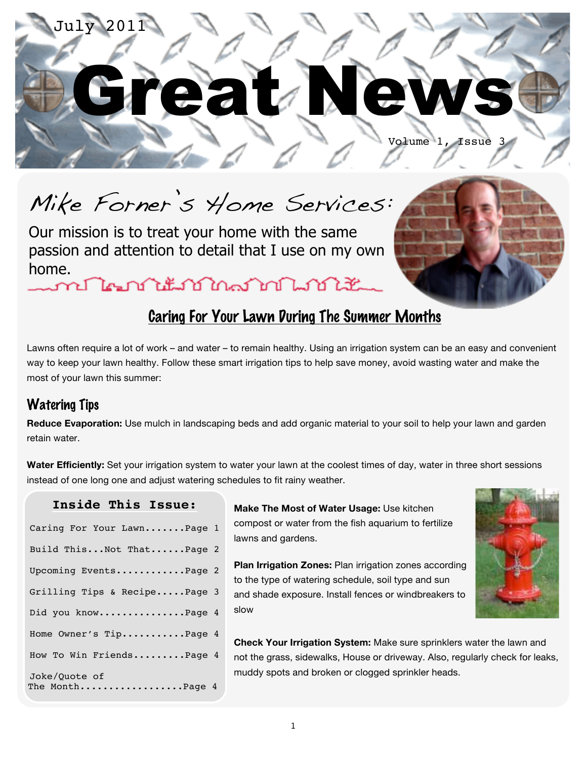

Mike Forner's Home Services:

Our mission is to treat your home with the same passion and attention to detail that I use on my own home.

## Caring For Your Lawn During The Summer Months

Lawns often require a lot of work – and water – to remain healthy. Using an irrigation system can be an easy and convenient way to keep your lawn healthy. Follow these smart irrigation tips to help save money, avoid wasting water and make the most of your lawn this summer:

### Watering Tips

**Reduce Evaporation:** Use mulch in landscaping beds and add organic material to your soil to help your lawn and garden retain water.

**Water Efficiently:** Set your irrigation system to water your lawn at the coolest times of day, water in three short sessions instead of one long one and adjust watering schedules to fit rainy weather.

#### **Inside This Issue:**

| Caring For Your LawnPage 1       |  |
|----------------------------------|--|
| Build ThisNot ThatPage 2         |  |
| Upcoming EventsPage 2            |  |
| Grilling Tips & RecipePage 3     |  |
| Did you knowPage 4               |  |
| Home Owner's TipPage 4           |  |
| How To Win FriendsPage 4         |  |
| Joke/Ouote of<br>The MonthPage 4 |  |

**Make The Most of Water Usage:** Use kitchen compost or water from the fish aquarium to fertilize lawns and gardens.

**Plan Irrigation Zones:** Plan irrigation zones according to the type of watering schedule, soil type and sun and shade exposure. Install fences or windbreakers to slow



**Check Your Irrigation System:** Make sure sprinklers water the lawn and not the grass, sidewalks, House or driveway. Also, regularly check for leaks, muddy spots and broken or clogged sprinkler heads.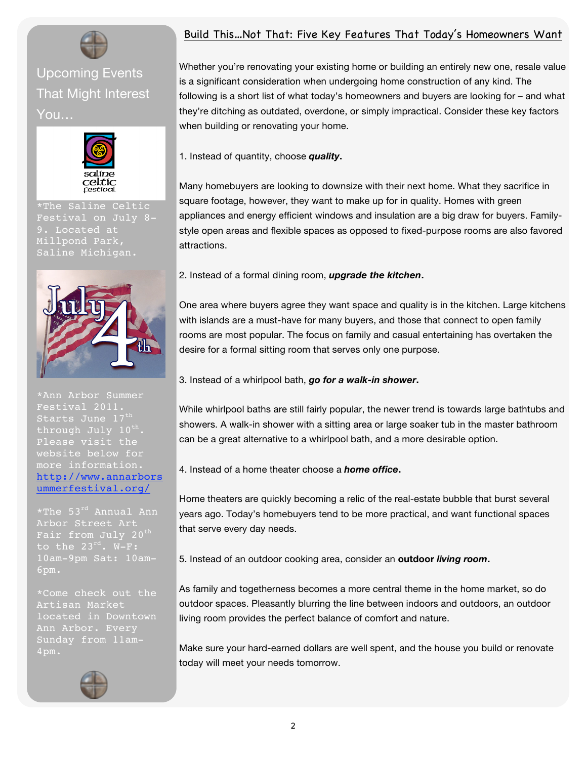## Upcoming Events That Might Interest You…



\*The Saline Celtic Festival on July 8- 9. Located at Millpond Park,



Festival 2011. Starts June 17th through July 10<sup>th</sup>. Please visit the website below for more information. http://www.annarbors ummerfestival.org/

\*The 53rd Annual Ann Arbor Street Art Fair from July 20<sup>th</sup> 10am-9pm Sat: 10am-6pm.

\*Come check out the Artisan Market Sunday from 11am-4pm.



#### Build This…Not That: Five Key Features That Today's Homeowners Want

Whether you're renovating your existing home or building an entirely new one, resale value is a significant consideration when undergoing home construction of any kind. The following is a short list of what today's homeowners and buyers are looking for – and what they're ditching as outdated, overdone, or simply impractical. Consider these key factors when building or renovating your home.

1. Instead of quantity, choose *quality***.**

Many homebuyers are looking to downsize with their next home. What they sacrifice in square footage, however, they want to make up for in quality. Homes with green appliances and energy efficient windows and insulation are a big draw for buyers. Familystyle open areas and flexible spaces as opposed to fixed-purpose rooms are also favored attractions.

2. Instead of a formal dining room, *upgrade the kitchen***.**

One area where buyers agree they want space and quality is in the kitchen. Large kitchens with islands are a must-have for many buyers, and those that connect to open family rooms are most popular. The focus on family and casual entertaining has overtaken the desire for a formal sitting room that serves only one purpose.

3. Instead of a whirlpool bath, *go for a walk-in shower***.**

While whirlpool baths are still fairly popular, the newer trend is towards large bathtubs and showers. A walk-in shower with a sitting area or large soaker tub in the master bathroom can be a great alternative to a whirlpool bath, and a more desirable option.

4. Instead of a home theater choose a *home office***.**

Home theaters are quickly becoming a relic of the real-estate bubble that burst several years ago. Today's homebuyers tend to be more practical, and want functional spaces that serve every day needs.

5. Instead of an outdoor cooking area, consider an **outdoor** *living room***.**

As family and togetherness becomes a more central theme in the home market, so do outdoor spaces. Pleasantly blurring the line between indoors and outdoors, an outdoor living room provides the perfect balance of comfort and nature.

Make sure your hard-earned dollars are well spent, and the house you build or renovate today will meet your needs tomorrow.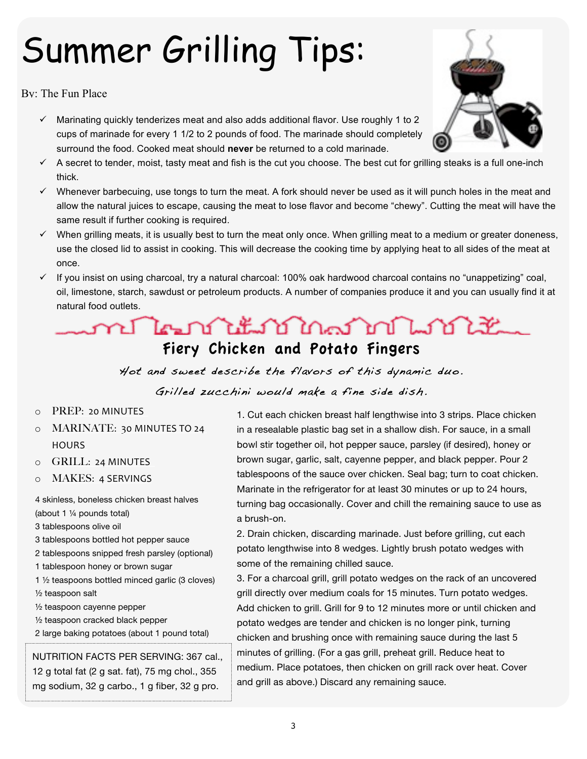# Summer Grilling Tips:

By: The Fun Place

- $\checkmark$  Marinating quickly tenderizes meat and also adds additional flavor. Use roughly 1 to 2 cups of marinade for every 1 1/2 to 2 pounds of food. The marinade should completely surround the food. Cooked meat should **never** be returned to a cold marinade.
- $\checkmark$  A secret to tender, moist, tasty meat and fish is the cut you choose. The best cut for grilling steaks is a full one-inch thick.
- $\checkmark$  Whenever barbecuing, use tongs to turn the meat. A fork should never be used as it will punch holes in the meat and allow the natural juices to escape, causing the meat to lose flavor and become "chewy". Cutting the meat will have the same result if further cooking is required.
- $\checkmark$  When grilling meats, it is usually best to turn the meat only once. When grilling meat to a medium or greater doneness, use the closed lid to assist in cooking. This will decrease the cooking time by applying heat to all sides of the meat at once.
- $\checkmark$  If you insist on using charcoal, try a natural charcoal: 100% oak hardwood charcoal contains no "unappetizing" coal, oil, limestone, starch, sawdust or petroleum products. A number of companies produce it and you can usually find it at natural food outlets.

## n The national month with the Fiery Chicken and Potato Fingers

Hot and sweet describe the f lavors of this dynamic duo.

#### Grilled zucchini would make a fine side dish.

- o PREP: 20
MINUTES
- o MARINATE: 30
MINUTES
TO
24 **HOURS**
- o GRILL: 24
MINUTES
- o MAKES: 4
SERVINGS

4 skinless, boneless chicken breast halves (about 1 ¼ pounds total)

3 tablespoons olive oil

3 tablespoons bottled hot pepper sauce

2 tablespoons snipped fresh parsley (optional)

- 1 tablespoon honey or brown sugar
- 1 ½ teaspoons bottled minced garlic (3 cloves) ½ teaspoon salt

½ teaspoon cayenne pepper

- ½ teaspoon cracked black pepper
- 2 large baking potatoes (about 1 pound total)

NUTRITION FACTS PER SERVING: 367 cal., 12 g total fat (2 g sat. fat), 75 mg chol., 355 mg sodium, 32 g carbo., 1 g fiber, 32 g pro.

1. Cut each chicken breast half lengthwise into 3 strips. Place chicken in a resealable plastic bag set in a shallow dish. For sauce, in a small bowl stir together oil, hot pepper sauce, parsley (if desired), honey or brown sugar, garlic, salt, cayenne pepper, and black pepper. Pour 2 tablespoons of the sauce over chicken. Seal bag; turn to coat chicken. Marinate in the refrigerator for at least 30 minutes or up to 24 hours, turning bag occasionally. Cover and chill the remaining sauce to use as a brush-on.

2. Drain chicken, discarding marinade. Just before grilling, cut each potato lengthwise into 8 wedges. Lightly brush potato wedges with some of the remaining chilled sauce.

3. For a charcoal grill, grill potato wedges on the rack of an uncovered grill directly over medium coals for 15 minutes. Turn potato wedges. Add chicken to grill. Grill for 9 to 12 minutes more or until chicken and potato wedges are tender and chicken is no longer pink, turning chicken and brushing once with remaining sauce during the last 5 minutes of grilling. (For a gas grill, preheat grill. Reduce heat to medium. Place potatoes, then chicken on grill rack over heat. Cover and grill as above.) Discard any remaining sauce.